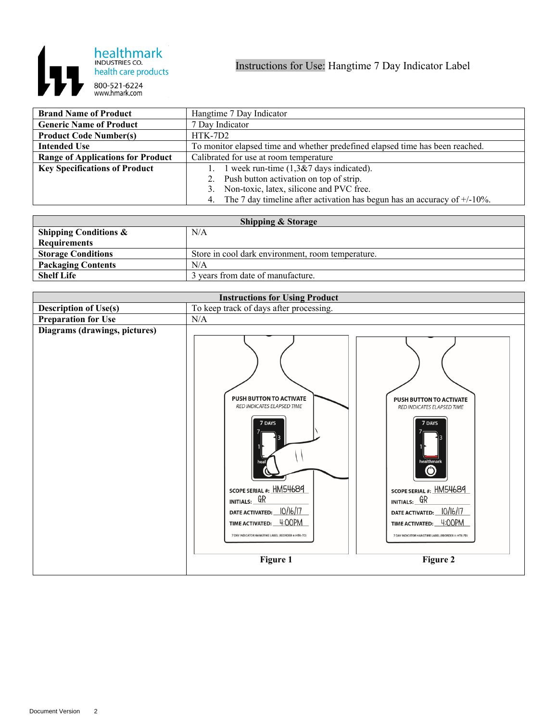

| <b>Brand Name of Product</b>             | Hangtime 7 Day Indicator                                                       |
|------------------------------------------|--------------------------------------------------------------------------------|
| <b>Generic Name of Product</b>           | 7 Day Indicator                                                                |
| <b>Product Code Number(s)</b>            | HTK-7D2                                                                        |
| <b>Intended Use</b>                      | To monitor elapsed time and whether predefined elapsed time has been reached.  |
| <b>Range of Applications for Product</b> | Calibrated for use at room temperature                                         |
| <b>Key Specifications of Product</b>     | 1 week run-time $(1,3& 27)$ days indicated).<br>1.                             |
|                                          | 2. Push button activation on top of strip.                                     |
|                                          | 3. Non-toxic, latex, silicone and PVC free.                                    |
|                                          | 4. The 7 day timeline after activation has begun has an accuracy of $+/10\%$ . |

| <b>Shipping &amp; Storage</b>    |                                                   |  |
|----------------------------------|---------------------------------------------------|--|
| <b>Shipping Conditions &amp;</b> | N/A                                               |  |
| <b>Requirements</b>              |                                                   |  |
| <b>Storage Conditions</b>        | Store in cool dark environment, room temperature. |  |
| <b>Packaging Contents</b>        | N/A                                               |  |
| <b>Shelf Life</b>                | 3 years from date of manufacture.                 |  |

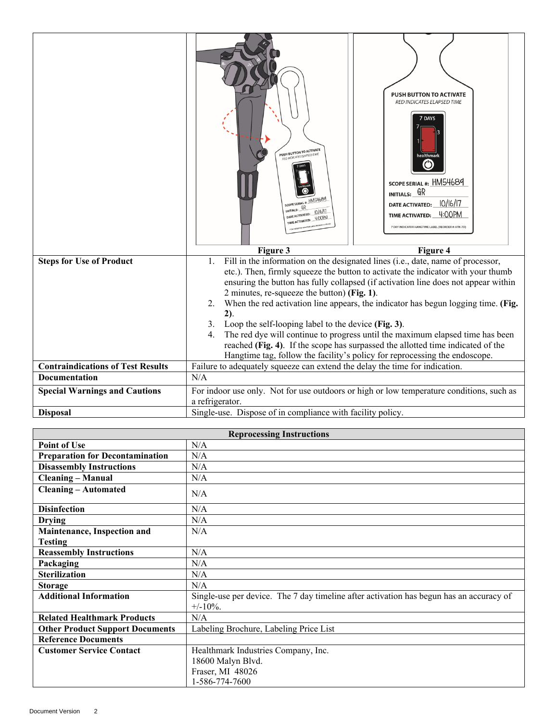|                                          | PUSH BUTTON TO ACTIVATE<br>RED INDICATES ELAPSED TIME<br><b>SCOPE SERIAL #:</b><br>INITIALS: GR<br>DATE ACTIVATED: 10/16/17<br>4:00P<br>ME ACTIVATED: | PUSH BUTTON TO ACTIVATE<br>RED INDICATES ELAPSED TIME<br>7 DAYS<br>healthmarl<br>$\Gamma$<br>SCOPE SERIAL #: HM54689<br>$INTIALs:$ $GR$<br>10/16/17<br><b>DATE ACTIVATED:</b><br>TIME ACTIVATED: 4:00PM<br>7 DAY INDICATOR HANGTIME LABEL (REORDER #: HTK-7D                                                                                                                                                                                                                                                                                                                                     |
|------------------------------------------|-------------------------------------------------------------------------------------------------------------------------------------------------------|--------------------------------------------------------------------------------------------------------------------------------------------------------------------------------------------------------------------------------------------------------------------------------------------------------------------------------------------------------------------------------------------------------------------------------------------------------------------------------------------------------------------------------------------------------------------------------------------------|
|                                          | Figure 3                                                                                                                                              | Figure 4                                                                                                                                                                                                                                                                                                                                                                                                                                                                                                                                                                                         |
| <b>Steps for Use of Product</b>          | $\mathbf{1}$ .<br>2 minutes, re-squeeze the button) (Fig. 1).<br>2.<br>$2$ ).<br>Loop the self-looping label to the device (Fig. 3).<br>3.<br>4.      | Fill in the information on the designated lines (i.e., date, name of processor,<br>etc.). Then, firmly squeeze the button to activate the indicator with your thumb<br>ensuring the button has fully collapsed (if activation line does not appear within<br>When the red activation line appears, the indicator has begun logging time. (Fig.<br>The red dye will continue to progress until the maximum elapsed time has been<br>reached (Fig. 4). If the scope has surpassed the allotted time indicated of the<br>Hangtime tag, follow the facility's policy for reprocessing the endoscope. |
| <b>Contraindications of Test Results</b> | Failure to adequately squeeze can extend the delay the time for indication.                                                                           |                                                                                                                                                                                                                                                                                                                                                                                                                                                                                                                                                                                                  |
| <b>Documentation</b>                     | N/A                                                                                                                                                   |                                                                                                                                                                                                                                                                                                                                                                                                                                                                                                                                                                                                  |
| <b>Special Warnings and Cautions</b>     | a refrigerator.                                                                                                                                       | For indoor use only. Not for use outdoors or high or low temperature conditions, such as                                                                                                                                                                                                                                                                                                                                                                                                                                                                                                         |
| <b>Disposal</b>                          | Single-use. Dispose of in compliance with facility policy.                                                                                            |                                                                                                                                                                                                                                                                                                                                                                                                                                                                                                                                                                                                  |

| <b>Reprocessing Instructions</b>       |                                                                                         |  |
|----------------------------------------|-----------------------------------------------------------------------------------------|--|
| <b>Point of Use</b>                    | N/A                                                                                     |  |
| <b>Preparation for Decontamination</b> | N/A                                                                                     |  |
| <b>Disassembly Instructions</b>        | N/A                                                                                     |  |
| <b>Cleaning - Manual</b>               | N/A                                                                                     |  |
| <b>Cleaning - Automated</b>            | N/A                                                                                     |  |
| <b>Disinfection</b>                    | N/A                                                                                     |  |
| <b>Drying</b>                          | N/A                                                                                     |  |
| Maintenance, Inspection and            | N/A                                                                                     |  |
| <b>Testing</b>                         |                                                                                         |  |
| <b>Reassembly Instructions</b>         | N/A                                                                                     |  |
| Packaging                              | N/A                                                                                     |  |
| <b>Sterilization</b>                   | N/A                                                                                     |  |
| <b>Storage</b>                         | N/A                                                                                     |  |
| <b>Additional Information</b>          | Single-use per device. The 7 day timeline after activation has begun has an accuracy of |  |
|                                        | $+/-10\%$ .                                                                             |  |
| <b>Related Healthmark Products</b>     | N/A                                                                                     |  |
| <b>Other Product Support Documents</b> | Labeling Brochure, Labeling Price List                                                  |  |
| <b>Reference Documents</b>             |                                                                                         |  |
| <b>Customer Service Contact</b>        | Healthmark Industries Company, Inc.                                                     |  |
|                                        | 18600 Malyn Blvd.                                                                       |  |
|                                        | Fraser, MI 48026                                                                        |  |
|                                        | 1-586-774-7600                                                                          |  |